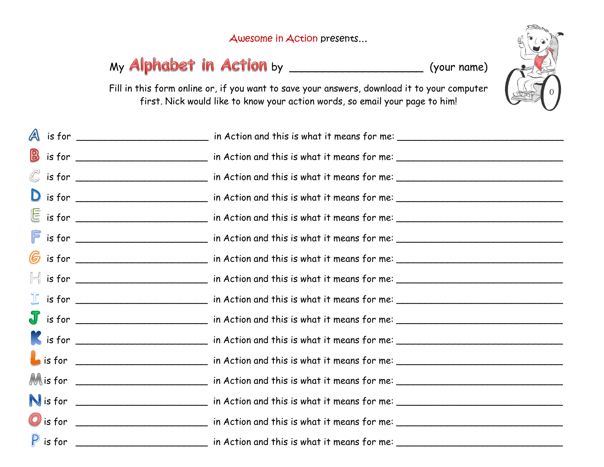Awesome in Action presents…

## My **Alphabet in Action** by \_\_\_\_\_\_\_\_\_\_\_\_\_\_\_\_\_\_\_\_\_(your name)



Fill in this form online or, if you want to save your answers, download it to your computer first. Nick would like to know your action words, so email your page to him!

| A |                                                                                                                |
|---|----------------------------------------------------------------------------------------------------------------|
|   |                                                                                                                |
|   |                                                                                                                |
|   |                                                                                                                |
|   |                                                                                                                |
|   | in Action and this is what it means for me:                                                                    |
|   |                                                                                                                |
|   |                                                                                                                |
|   |                                                                                                                |
|   | in Action and this is what it means for me:                                                                    |
|   |                                                                                                                |
|   |                                                                                                                |
|   |                                                                                                                |
|   |                                                                                                                |
|   |                                                                                                                |
|   | P is for _______________________ in Action and this is what it means for me: _________________________________ |
|   |                                                                                                                |